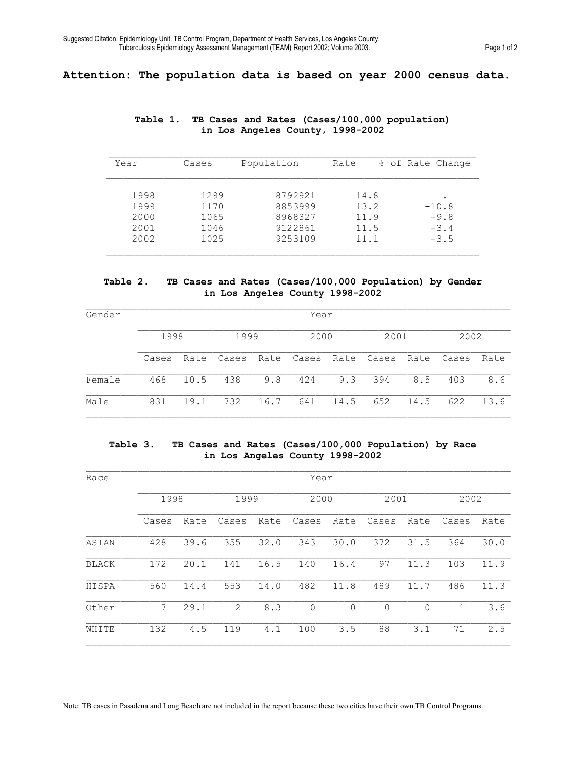# **Attention: The population data is based on year 2000 census data.**

| Year | Cases | Population | Rate | % of Rate Change |
|------|-------|------------|------|------------------|
| 1998 | 1299  | 8792921    | 14.8 | $\bullet$        |
| 1999 | 1170  | 8853999    | 13.2 | $-10.8$          |
| 2000 | 1065  | 8968327    | 11.9 | $-9.8$           |
| 2001 | 1046  | 9122861    | 11.5 | $-3.4$           |
| 2002 | 1025  | 9253109    | 11.1 | $-3.5$           |

## **Table 1. TB Cases and Rates (Cases/100,000 population) in Los Angeles County, 1998-2002**

#### **Table 2. TB Cases and Rates (Cases/100,000 Population) by Gender in Los Angeles County 1998-2002**

| Gender | Year  |      |       |      |       |      |       |      |       |      |
|--------|-------|------|-------|------|-------|------|-------|------|-------|------|
|        | 1998  |      | 1999  |      | 2000  |      | 2001  |      | 2002  |      |
|        | Cases | Rate | Cases | Rate | Cases | Rate | Cases | Rate | Cases | Rate |
| Female | 468   | 10.5 | 438   | 9.8  | 424   | 9.3  | 394   | 8.5  | 403   | 8.6  |
| Male   | 831   | 19.1 | 732   | 16.7 | 641   | 14.5 | 652   | 14.5 | 622   | 13.6 |

### **Table 3. TB Cases and Rates (Cases/100,000 Population) by Race in Los Angeles County 1998-2002**

| Race         |             | Year |       |      |             |          |             |      |       |      |  |  |
|--------------|-------------|------|-------|------|-------------|----------|-------------|------|-------|------|--|--|
|              | 1998        |      | 1999  |      | 2000        |          | 2001        |      | 2002  |      |  |  |
|              | Cases       | Rate | Cases | Rate | Cases       | Rate     | Cases       | Rate | Cases | Rate |  |  |
| ASIAN        | 428         | 39.6 | 355   | 32.0 | 343         | 30.0     | 372         | 31.5 | 364   | 30.0 |  |  |
| <b>BLACK</b> | 172         | 20.1 | 141   | 16.5 | 140         | 16.4     | 97          | 11.3 | 103   | 11.9 |  |  |
| HISPA        | 560         | 14.4 | 553   | 14.0 | 482         | 11.8     | 489         | 11.7 | 486   | 11.3 |  |  |
| Other        | $7^{\circ}$ | 29.1 | 2     | 8.3  | $\mathbf 0$ | $\Omega$ | $\mathbf 0$ | 0    | 1     | 3.6  |  |  |
| WHITE        | 132         | 4.5  | 119   | 4.1  | 100         | 3.5      | 88          | 3.1  | 71    | 2.5  |  |  |

Note: TB cases in Pasadena and Long Beach are not included in the report because these two cities have their own TB Control Programs.